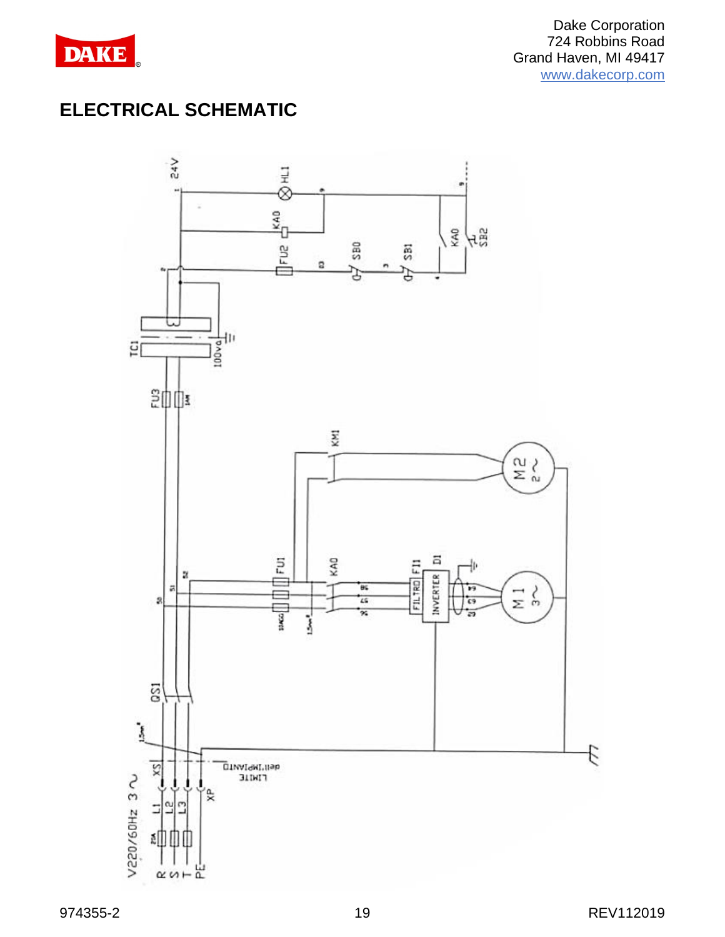

# **ELECTRICAL SCHEMATIC**

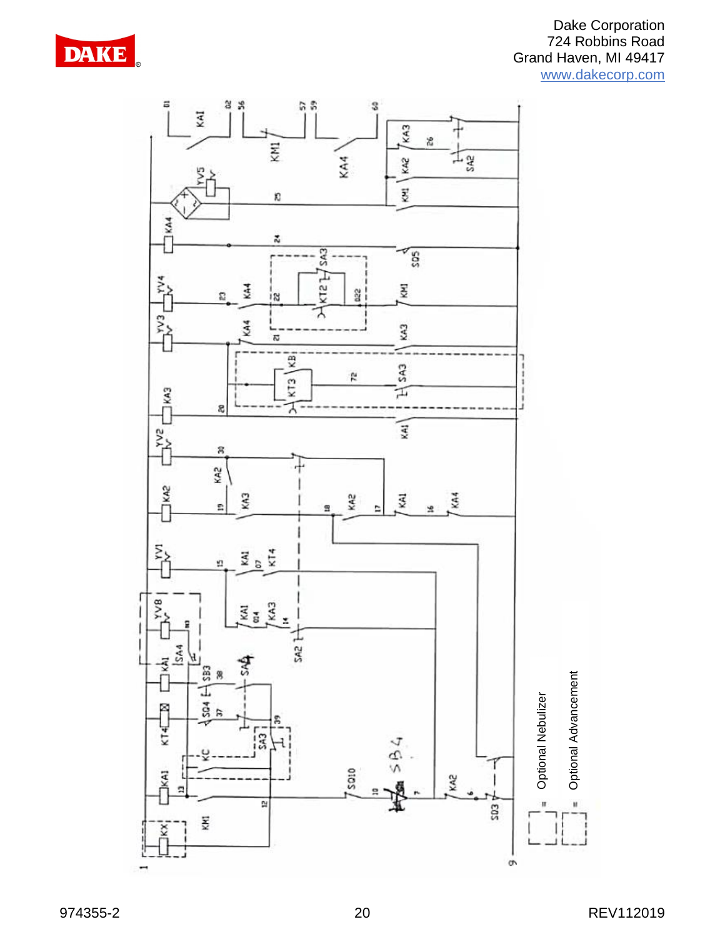

#### Dake Corporation 724 Robbins Road Grand Haven, MI 49417 [www.dakecorp.com](http://www.dakecorp.com/)

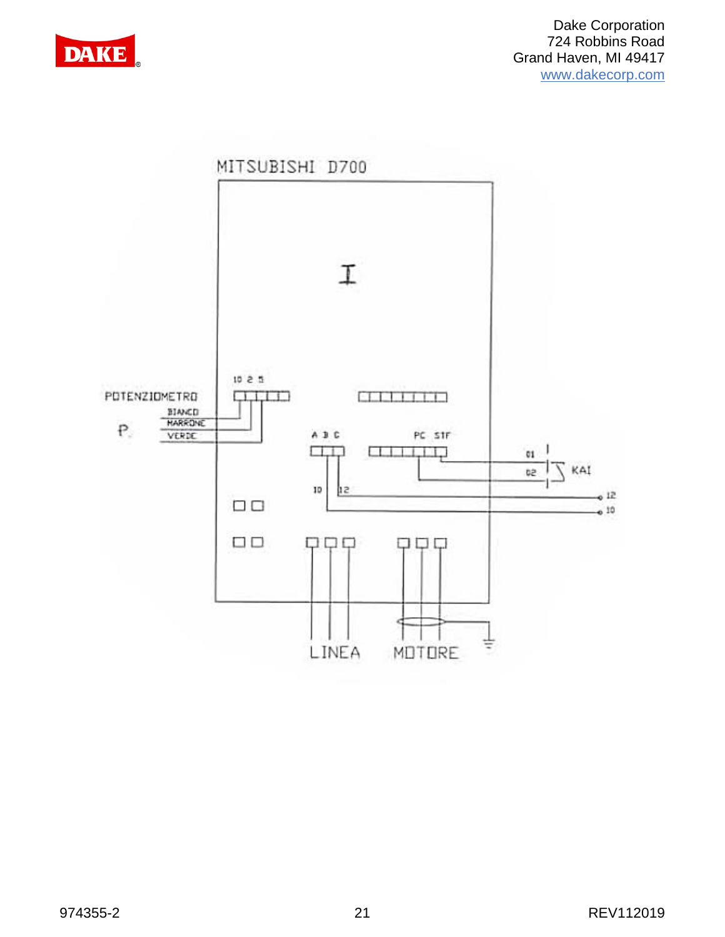

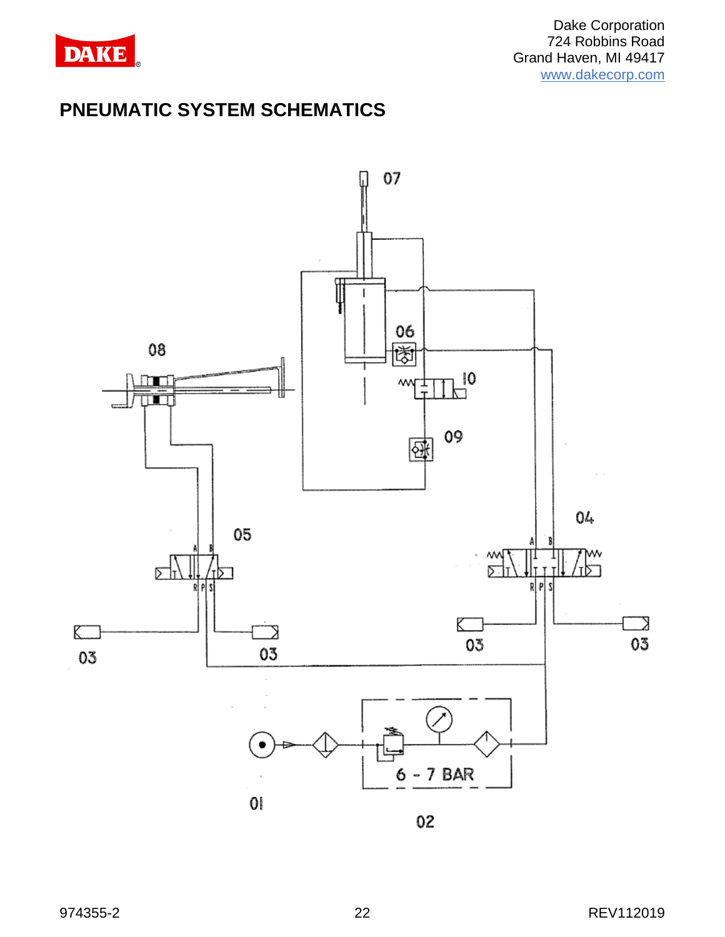

## **PNEUMATIC SYSTEM SCHEMATICS**



02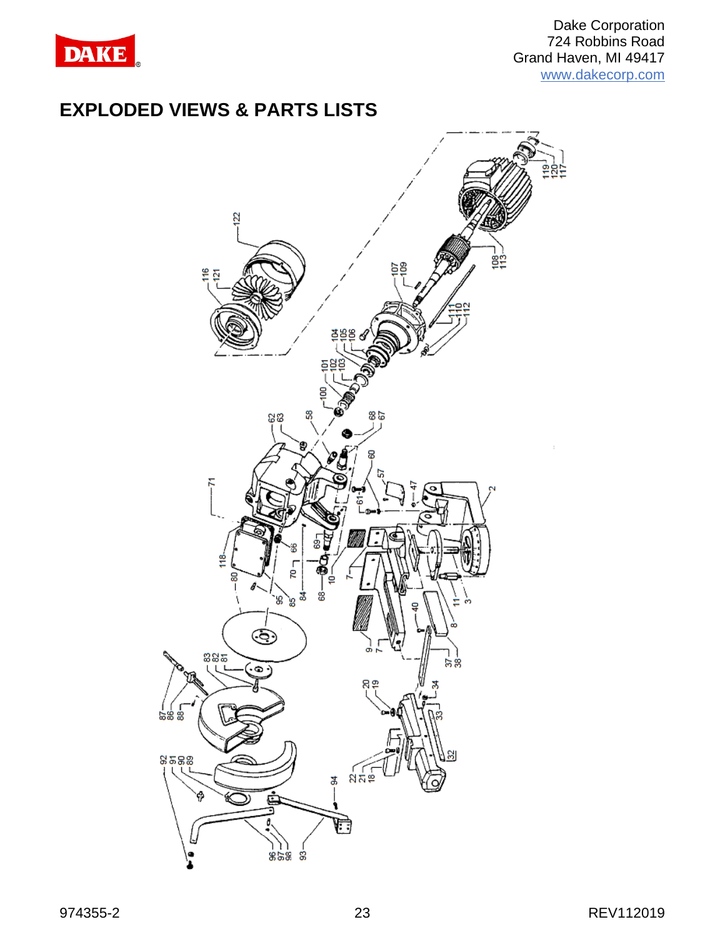

### **EXPLODED VIEWS & PARTS LISTS**

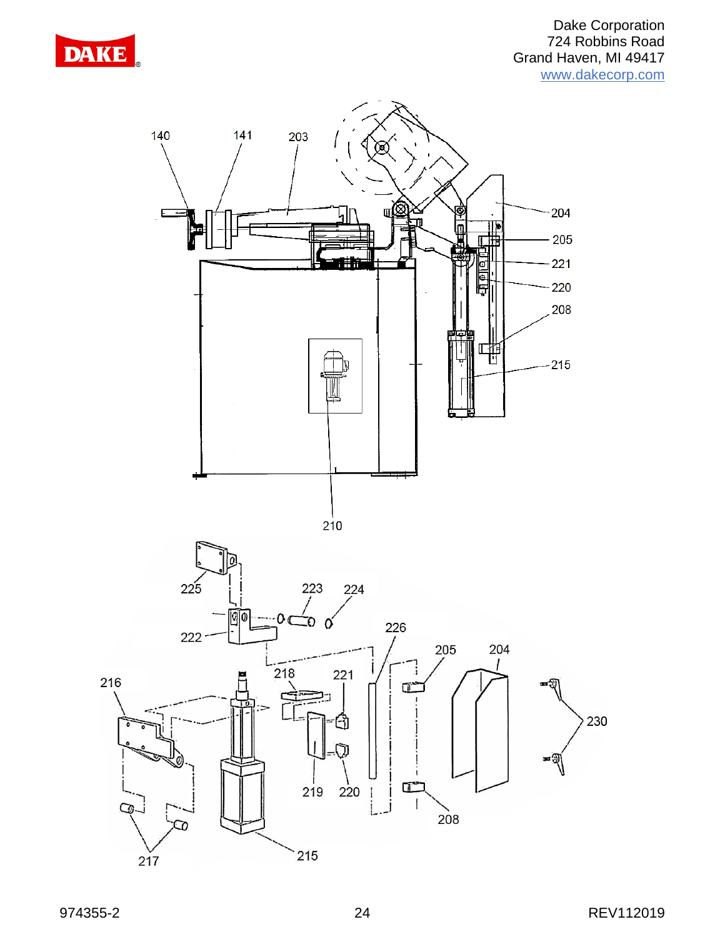

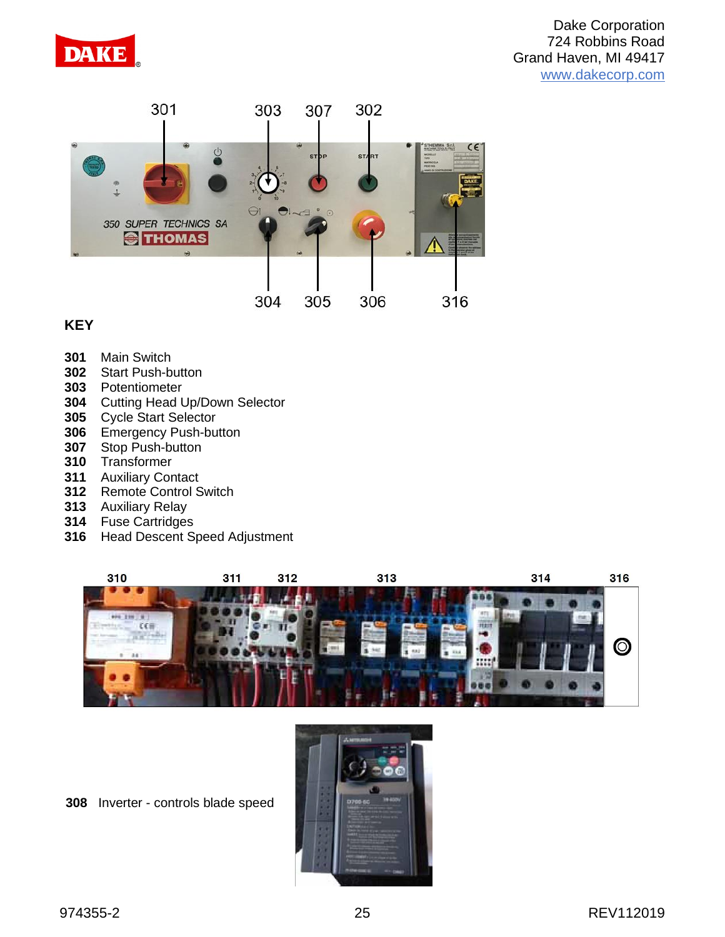



### **KEY**

- Main Switch
- Start Push-button
- Potentiometer
- Cutting Head Up/Down Selector
- Cycle Start Selector
- Emergency Push-button
- Stop Push-button
- Transformer
- Auxiliary Contact
- Remote Control Switch
- Auxiliary Relay
- Fuse Cartridges
- Head Descent Speed Adjustment



Inverter - controls blade speed

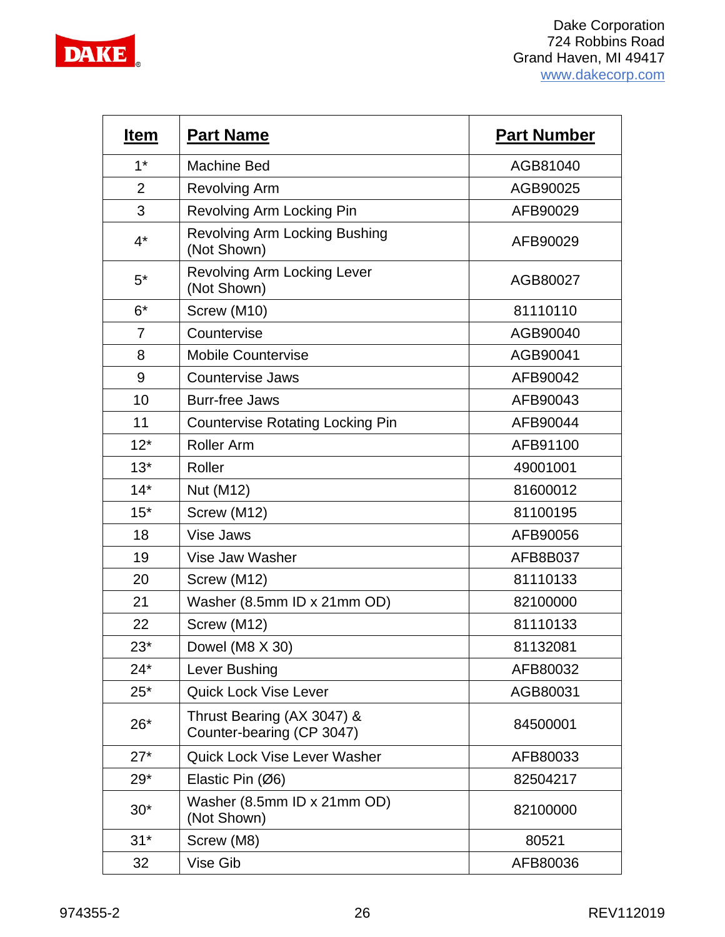

| <b>Item</b>    | <b>Part Name</b>                                        | <b>Part Number</b> |
|----------------|---------------------------------------------------------|--------------------|
| $1*$           | <b>Machine Bed</b>                                      | AGB81040           |
| $\overline{2}$ | <b>Revolving Arm</b>                                    | AGB90025           |
| 3              | Revolving Arm Locking Pin                               | AFB90029           |
| $4^*$          | <b>Revolving Arm Locking Bushing</b><br>(Not Shown)     | AFB90029           |
| $5^*$          | <b>Revolving Arm Locking Lever</b><br>(Not Shown)       | AGB80027           |
| $6*$           | Screw (M10)                                             | 81110110           |
| $\overline{7}$ | Countervise                                             | AGB90040           |
| 8              | <b>Mobile Countervise</b>                               | AGB90041           |
| 9              | <b>Countervise Jaws</b>                                 | AFB90042           |
| 10             | <b>Burr-free Jaws</b>                                   | AFB90043           |
| 11             | <b>Countervise Rotating Locking Pin</b>                 | AFB90044           |
| $12*$          | <b>Roller Arm</b>                                       | AFB91100           |
| $13*$          | Roller                                                  | 49001001           |
| $14*$          | Nut (M12)                                               | 81600012           |
| $15*$          | Screw (M12)                                             | 81100195           |
| 18             | Vise Jaws                                               | AFB90056           |
| 19             | Vise Jaw Washer                                         | AFB8B037           |
| 20             | Screw (M12)                                             | 81110133           |
| 21             | Washer (8.5mm ID x 21mm OD)                             | 82100000           |
| 22             | Screw (M12)                                             | 81110133           |
| $23*$          | Dowel (M8 X 30)                                         | 81132081           |
| $24*$          | Lever Bushing                                           | AFB80032           |
| $25*$          | <b>Quick Lock Vise Lever</b>                            | AGB80031           |
| $26*$          | Thrust Bearing (AX 3047) &<br>Counter-bearing (CP 3047) | 84500001           |
| $27*$          | <b>Quick Lock Vise Lever Washer</b>                     | AFB80033           |
| $29*$          | Elastic Pin (Ø6)                                        | 82504217           |
| $30*$          | Washer (8.5mm ID x 21mm OD)<br>(Not Shown)              | 82100000           |
| $31*$          | Screw (M8)                                              | 80521              |
| 32             | Vise Gib                                                | AFB80036           |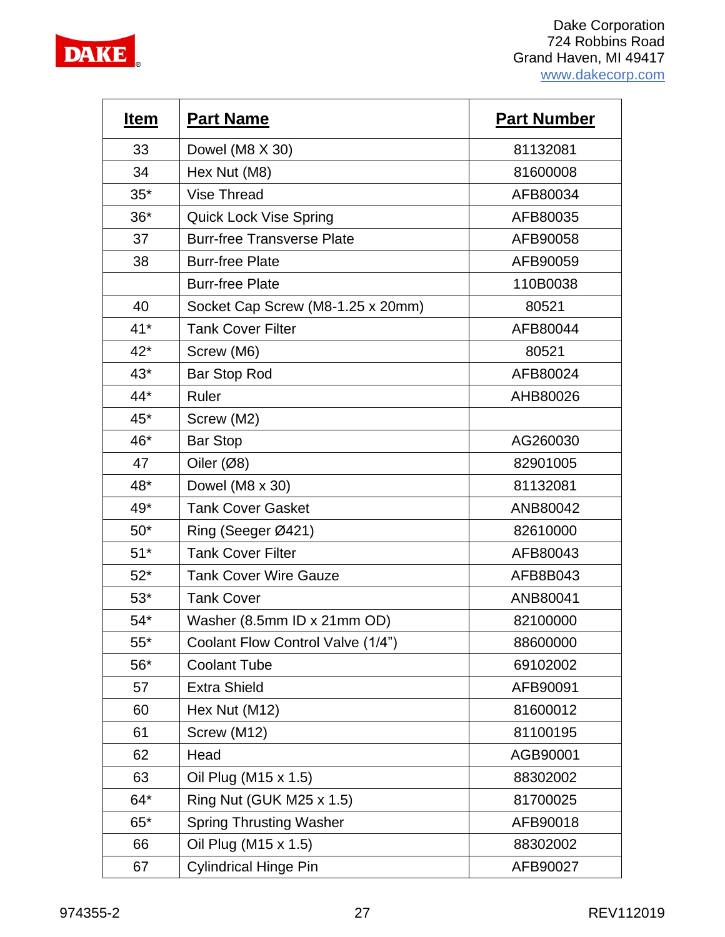

| <u>Item</u> | <b>Part Name</b>                  | <b>Part Number</b> |
|-------------|-----------------------------------|--------------------|
| 33          | Dowel (M8 X 30)                   | 81132081           |
| 34          | Hex Nut (M8)                      | 81600008           |
| $35*$       | <b>Vise Thread</b>                | AFB80034           |
| $36*$       | <b>Quick Lock Vise Spring</b>     | AFB80035           |
| 37          | <b>Burr-free Transverse Plate</b> | AFB90058           |
| 38          | <b>Burr-free Plate</b>            | AFB90059           |
|             | <b>Burr-free Plate</b>            | 110B0038           |
| 40          | Socket Cap Screw (M8-1.25 x 20mm) | 80521              |
| $41*$       | <b>Tank Cover Filter</b>          | AFB80044           |
| $42*$       | Screw (M6)                        | 80521              |
| $43*$       | Bar Stop Rod                      | AFB80024           |
| 44*         | Ruler                             | AHB80026           |
| $45*$       | Screw (M2)                        |                    |
| 46*         | <b>Bar Stop</b>                   | AG260030           |
| 47          | Oiler $(Ø8)$                      | 82901005           |
| 48*         | Dowel (M8 x 30)                   | 81132081           |
| 49*         | <b>Tank Cover Gasket</b>          | ANB80042           |
| $50*$       | Ring (Seeger Ø421)                | 82610000           |
| $51*$       | <b>Tank Cover Filter</b>          | AFB80043           |
| $52*$       | <b>Tank Cover Wire Gauze</b>      | AFB8B043           |
| $53*$       | <b>Tank Cover</b>                 | ANB80041           |
| $54*$       | Washer (8.5mm ID x 21mm OD)       | 82100000           |
| $55*$       | Coolant Flow Control Valve (1/4") | 88600000           |
| $56*$       | <b>Coolant Tube</b>               | 69102002           |
| 57          | <b>Extra Shield</b>               | AFB90091           |
| 60          | Hex Nut (M12)                     | 81600012           |
| 61          | Screw (M12)                       | 81100195           |
| 62          | Head                              | AGB90001           |
| 63          | Oil Plug (M15 x 1.5)              | 88302002           |
| 64*         | Ring Nut (GUK M25 x 1.5)          | 81700025           |
| $65*$       | <b>Spring Thrusting Washer</b>    | AFB90018           |
| 66          | Oil Plug (M15 x 1.5)              | 88302002           |
| 67          | <b>Cylindrical Hinge Pin</b>      | AFB90027           |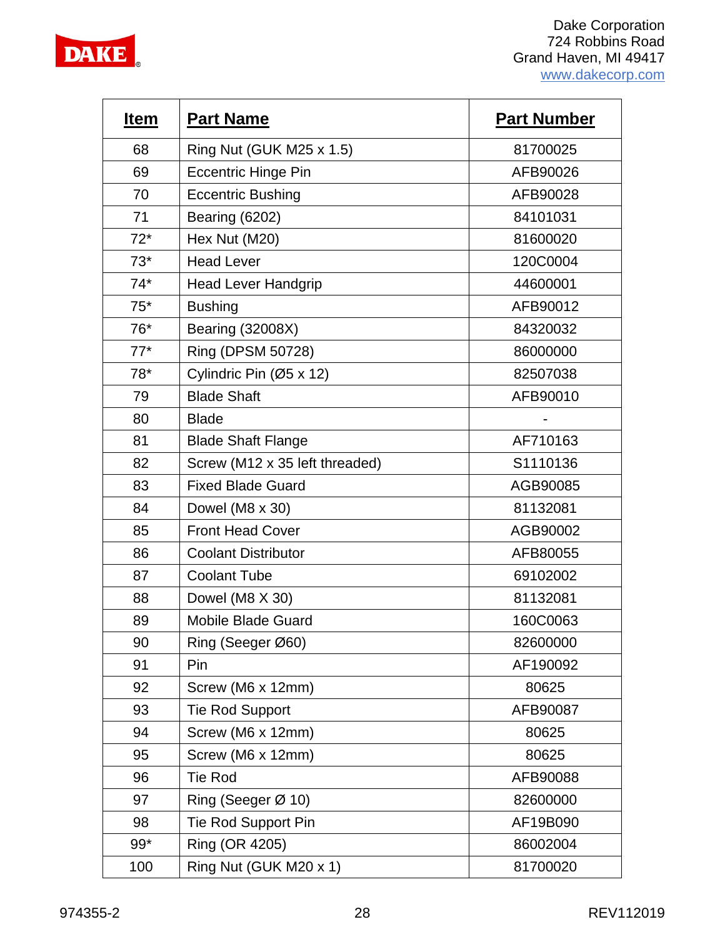

| <u>Item</u> | <b>Part Name</b>               | <b>Part Number</b> |
|-------------|--------------------------------|--------------------|
| 68          | Ring Nut (GUK M25 x 1.5)       | 81700025           |
| 69          | <b>Eccentric Hinge Pin</b>     | AFB90026           |
| 70          | <b>Eccentric Bushing</b>       | AFB90028           |
| 71          | <b>Bearing (6202)</b>          | 84101031           |
| $72*$       | Hex Nut (M20)                  | 81600020           |
| $73*$       | <b>Head Lever</b>              | 120C0004           |
| $74*$       | <b>Head Lever Handgrip</b>     | 44600001           |
| $75*$       | <b>Bushing</b>                 | AFB90012           |
| 76*         | <b>Bearing (32008X)</b>        | 84320032           |
| $77*$       | Ring (DPSM 50728)              | 86000000           |
| 78*         | Cylindric Pin (Ø5 x 12)        | 82507038           |
| 79          | <b>Blade Shaft</b>             | AFB90010           |
| 80          | <b>Blade</b>                   |                    |
| 81          | <b>Blade Shaft Flange</b>      | AF710163           |
| 82          | Screw (M12 x 35 left threaded) | S1110136           |
| 83          | <b>Fixed Blade Guard</b>       | AGB90085           |
| 84          | Dowel (M8 x 30)                | 81132081           |
| 85          | <b>Front Head Cover</b>        | AGB90002           |
| 86          | <b>Coolant Distributor</b>     | AFB80055           |
| 87          | <b>Coolant Tube</b>            | 69102002           |
| 88          | Dowel (M8 X 30)                | 81132081           |
| 89          | <b>Mobile Blade Guard</b>      | 160C0063           |
| 90          | Ring (Seeger Ø60)              | 82600000           |
| 91          | Pin                            | AF190092           |
| 92          | Screw (M6 x 12mm)              | 80625              |
| 93          | <b>Tie Rod Support</b>         | AFB90087           |
| 94          | Screw (M6 x 12mm)              | 80625              |
| 95          | Screw (M6 x 12mm)              | 80625              |
| 96          | <b>Tie Rod</b>                 | AFB90088           |
| 97          | Ring (Seeger $\varnothing$ 10) | 82600000           |
| 98          | Tie Rod Support Pin            | AF19B090           |
| 99*         | Ring (OR 4205)                 | 86002004           |
| 100         | Ring Nut (GUK M20 x 1)         | 81700020           |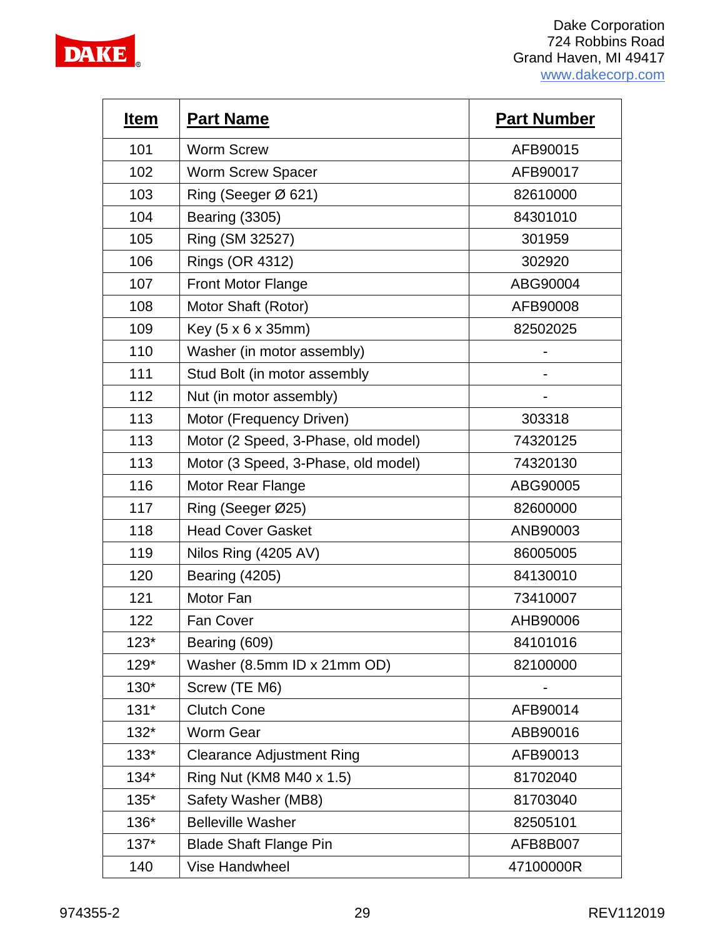

| <u>Item</u> | <b>Part Name</b>                    | <b>Part Number</b> |
|-------------|-------------------------------------|--------------------|
| 101         | <b>Worm Screw</b>                   | AFB90015           |
| 102         | <b>Worm Screw Spacer</b>            | AFB90017           |
| 103         | Ring (Seeger Ø 621)                 | 82610000           |
| 104         | <b>Bearing (3305)</b>               | 84301010           |
| 105         | Ring (SM 32527)                     | 301959             |
| 106         | Rings (OR 4312)                     | 302920             |
| 107         | <b>Front Motor Flange</b>           | ABG90004           |
| 108         | Motor Shaft (Rotor)                 | AFB90008           |
| 109         | Key (5 x 6 x 35mm)                  | 82502025           |
| 110         | Washer (in motor assembly)          |                    |
| 111         | Stud Bolt (in motor assembly        |                    |
| 112         | Nut (in motor assembly)             |                    |
| 113         | Motor (Frequency Driven)            | 303318             |
| 113         | Motor (2 Speed, 3-Phase, old model) | 74320125           |
| 113         | Motor (3 Speed, 3-Phase, old model) | 74320130           |
| 116         | Motor Rear Flange                   | ABG90005           |
| 117         | Ring (Seeger Ø25)                   | 82600000           |
| 118         | <b>Head Cover Gasket</b>            | ANB90003           |
| 119         | Nilos Ring (4205 AV)                | 86005005           |
| 120         | <b>Bearing (4205)</b>               | 84130010           |
| 121         | Motor Fan                           | 73410007           |
| 122         | <b>Fan Cover</b>                    | AHB90006           |
| $123*$      | Bearing (609)                       | 84101016           |
| $129*$      | Washer (8.5mm ID x 21mm OD)         | 82100000           |
| 130*        | Screw (TE M6)                       |                    |
| $131*$      | <b>Clutch Cone</b>                  | AFB90014           |
| $132*$      | <b>Worm Gear</b>                    | ABB90016           |
| $133*$      | <b>Clearance Adjustment Ring</b>    | AFB90013           |
| $134*$      | Ring Nut (KM8 M40 x 1.5)            | 81702040           |
| $135*$      | Safety Washer (MB8)                 | 81703040           |
| 136*        | <b>Belleville Washer</b>            | 82505101           |
| $137*$      | <b>Blade Shaft Flange Pin</b>       | AFB8B007           |
| 140         | Vise Handwheel                      | 47100000R          |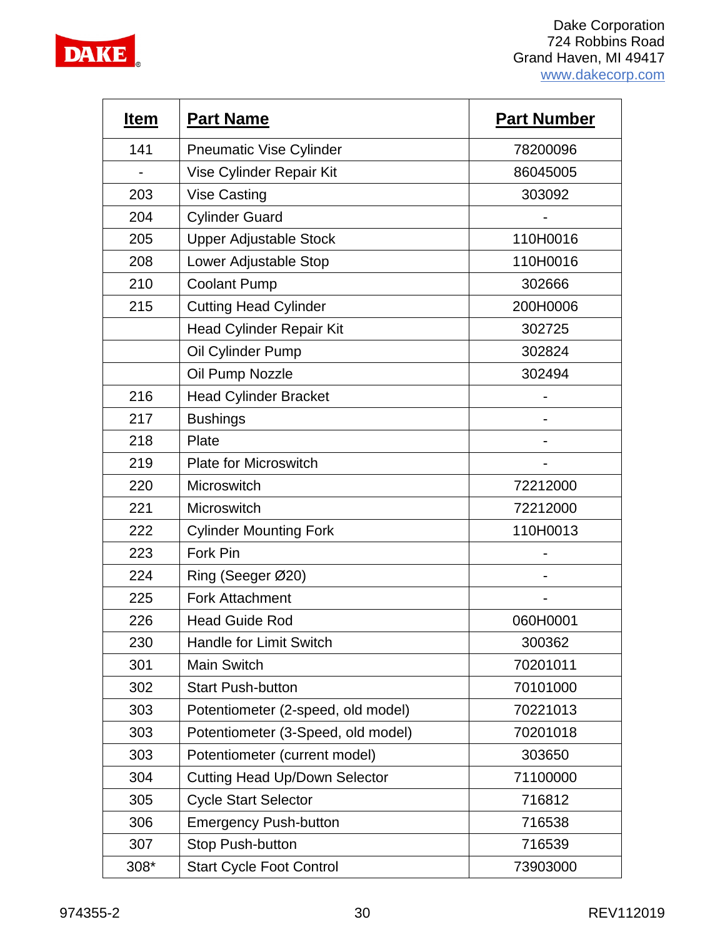

| <b>Item</b> | <b>Part Name</b>                     | <b>Part Number</b> |
|-------------|--------------------------------------|--------------------|
| 141         | <b>Pneumatic Vise Cylinder</b>       | 78200096           |
|             | Vise Cylinder Repair Kit             | 86045005           |
| 203         | <b>Vise Casting</b>                  | 303092             |
| 204         | <b>Cylinder Guard</b>                |                    |
| 205         | <b>Upper Adjustable Stock</b>        | 110H0016           |
| 208         | Lower Adjustable Stop                | 110H0016           |
| 210         | <b>Coolant Pump</b>                  | 302666             |
| 215         | <b>Cutting Head Cylinder</b>         | 200H0006           |
|             | <b>Head Cylinder Repair Kit</b>      | 302725             |
|             | Oil Cylinder Pump                    | 302824             |
|             | Oil Pump Nozzle                      | 302494             |
| 216         | <b>Head Cylinder Bracket</b>         |                    |
| 217         | <b>Bushings</b>                      |                    |
| 218         | Plate                                |                    |
| 219         | <b>Plate for Microswitch</b>         |                    |
| 220         | Microswitch                          | 72212000           |
| 221         | Microswitch                          | 72212000           |
| 222         | <b>Cylinder Mounting Fork</b>        | 110H0013           |
| 223         | Fork Pin                             |                    |
| 224         | Ring (Seeger Ø20)                    |                    |
| 225         | <b>Fork Attachment</b>               |                    |
| 226         | <b>Head Guide Rod</b>                | 060H0001           |
| 230         | <b>Handle for Limit Switch</b>       | 300362             |
| 301         | Main Switch                          | 70201011           |
| 302         | <b>Start Push-button</b>             | 70101000           |
| 303         | Potentiometer (2-speed, old model)   | 70221013           |
| 303         | Potentiometer (3-Speed, old model)   | 70201018           |
| 303         | Potentiometer (current model)        | 303650             |
| 304         | <b>Cutting Head Up/Down Selector</b> | 71100000           |
| 305         | <b>Cycle Start Selector</b>          | 716812             |
| 306         | <b>Emergency Push-button</b>         | 716538             |
| 307         | Stop Push-button                     | 716539             |
| 308*        | <b>Start Cycle Foot Control</b>      | 73903000           |